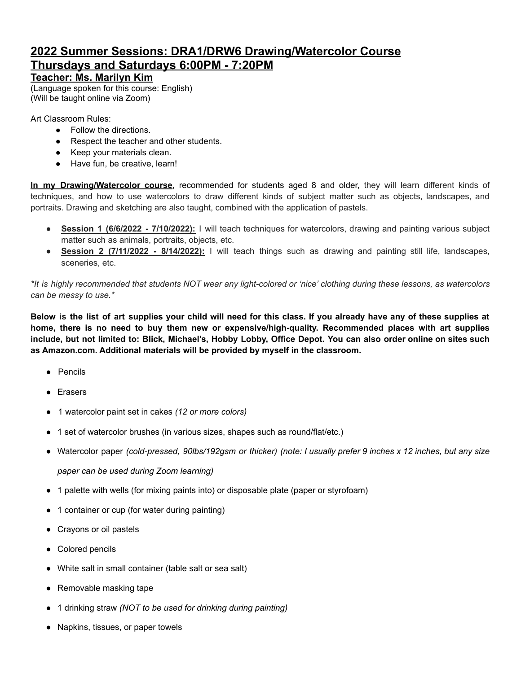## **2022 Summer Sessions: DRA1/DRW6 Drawing/Watercolor Course Thursdays and Saturdays 6:00PM - 7:20PM**

## **Teacher: Ms. Marilyn Kim**

(Language spoken for this course: English) (Will be taught online via Zoom)

Art Classroom Rules:

- Follow the directions.
- Respect the teacher and other students.
- Keep your materials clean.
- Have fun, be creative, learn!

**In my Drawing/Watercolor course**, recommended for students aged 8 and older, they will learn different kinds of techniques, and how to use watercolors to draw different kinds of subject matter such as objects, landscapes, and portraits. Drawing and sketching are also taught, combined with the application of pastels.

- **Session 1 (6/6/2022 - 7/10/2022):** I will teach techniques for watercolors, drawing and painting various subject matter such as animals, portraits, objects, etc.
- **Session 2 (7/11/2022 - 8/14/2022):** I will teach things such as drawing and painting still life, landscapes, sceneries, etc.

\*It is highly recommended that students NOT wear any light-colored or 'nice' clothing during these lessons, as watercolors *can be messy to use.\**

Below is the list of art supplies your child will need for this class. If you already have any of these supplies at **home, there is no need to buy them new or expensive/high-quality. Recommended places with art supplies** include, but not limited to: Blick, Michael's, Hobby Lobby, Office Depot. You can also order online on sites such **as Amazon.com. Additional materials will be provided by myself in the classroom.**

- Pencils
- Erasers
- 1 watercolor paint set in cakes *(12 or more colors)*
- 1 set of watercolor brushes (in various sizes, shapes such as round/flat/etc.)
- Watercolor paper (cold-pressed, 90lbs/192gsm or thicker) (note: I usually prefer 9 inches x 12 inches, but any size

*paper can be used during Zoom learning)*

- 1 palette with wells (for mixing paints into) or disposable plate (paper or styrofoam)
- 1 container or cup (for water during painting)
- Crayons or oil pastels
- Colored pencils
- White salt in small container (table salt or sea salt)
- Removable masking tape
- 1 drinking straw *(NOT to be used for drinking during painting)*
- Napkins, tissues, or paper towels